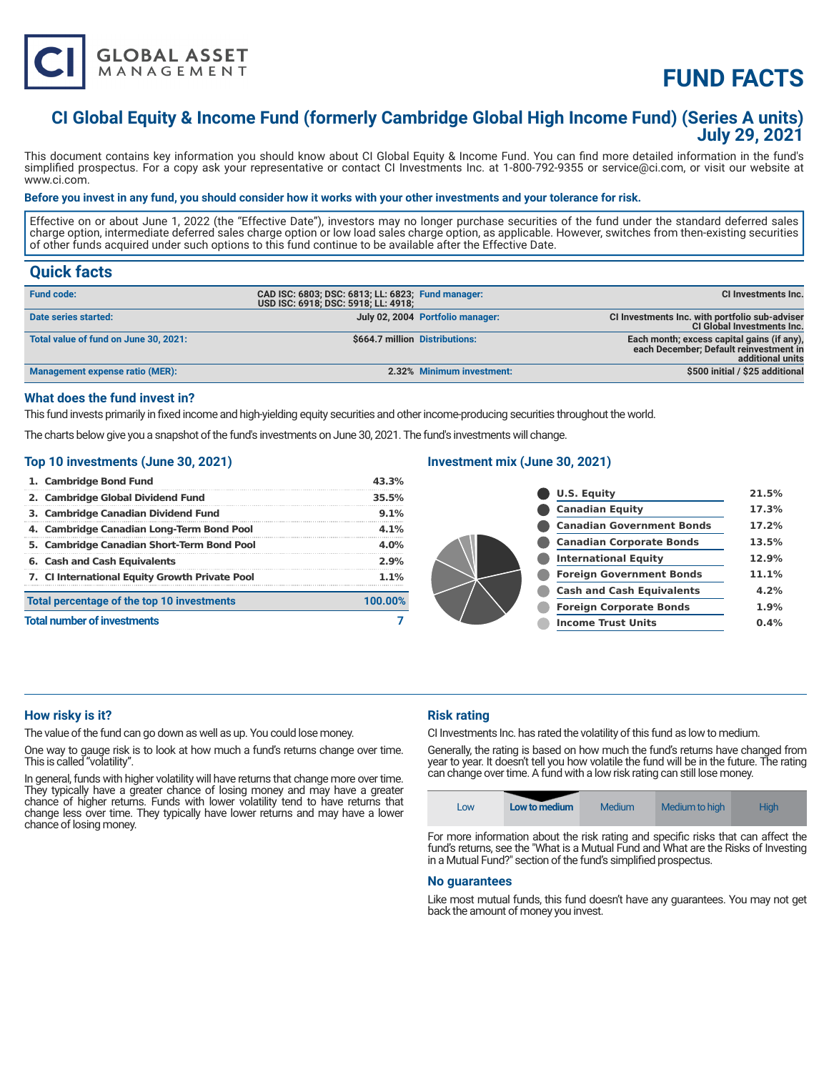

# **FUND FACTS**

# **CI Global Equity & Income Fund (formerly Cambridge Global High Income Fund) (Series A units) July 29, 2021**

This document contains key information you should know about CI Global Equity & Income Fund. You can find more detailed information in the fund's simplified prospectus. For a copy ask your representative or contact CI Investments Inc. at 1-800-792-9355 or service@ci.com, or visit our website at www.ci.com.

#### **Before you invest in any fund, you should consider how it works with your other investments and your tolerance for risk.**

Effective on or about June 1, 2022 (the "Effective Date"), investors may no longer purchase securities of the fund under the standard deferred sales charge option, intermediate deferred sales charge option or low load sales charge option, as applicable. However, switches from then-existing securities of other funds acquired under such options to this fund continue to be available after the Effective Date.

## **Quick facts**

| <b>Fund code:</b>                     | CAD ISC: 6803; DSC: 6813; LL: 6823; Fund manager:<br>USD ISC: 6918; DSC: 5918; LL: 4918; |                                  | CI Investments Inc.                                                                                      |
|---------------------------------------|------------------------------------------------------------------------------------------|----------------------------------|----------------------------------------------------------------------------------------------------------|
| Date series started:                  |                                                                                          | July 02, 2004 Portfolio manager: | CI Investments Inc. with portfolio sub-adviser<br><b>CI Global Investments Inc.</b>                      |
| Total value of fund on June 30, 2021: | \$664.7 million Distributions:                                                           |                                  | Each month; excess capital gains (if any),<br>each December; Default reinvestment in<br>additional units |
| Management expense ratio (MER):       |                                                                                          | 2.32% Minimum investment:        | \$500 initial / \$25 additional                                                                          |

#### **What does the fund invest in?**

This fund invests primarily in fixed income and high-yielding equity securities and other income-producing securities throughout the world.

The charts below give you a snapshot of the fund's investments on June 30, 2021. The fund's investments will change.

#### **Top 10 investments (June 30, 2021)**

| 1. Cambridge Bond Fund                         | 43.3%   |
|------------------------------------------------|---------|
| 2. Cambridge Global Dividend Fund              | 35.5%   |
| 3. Cambridge Canadian Dividend Fund            | 9.1%    |
| 4. Cambridge Canadian Long-Term Bond Pool      | 4.1%    |
| 5. Cambridge Canadian Short-Term Bond Pool     | 4.0%    |
| 6. Cash and Cash Equivalents                   | 2.9%    |
| 7. CI International Equity Growth Private Pool | 1.1%    |
| Total percentage of the top 10 investments     | 100.00% |
| <b>Total number of investments</b>             |         |

#### **Investment mix (June 30, 2021)**

| <b>U.S. Equity</b>               | 21.5% |
|----------------------------------|-------|
| <b>Canadian Equity</b>           | 17.3% |
| <b>Canadian Government Bonds</b> | 17.2% |
| <b>Canadian Corporate Bonds</b>  | 13.5% |
| <b>International Equity</b>      | 12.9% |
| <b>Foreign Government Bonds</b>  | 11.1% |
| <b>Cash and Cash Equivalents</b> | 4.2%  |
| <b>Foreign Corporate Bonds</b>   | 1.9%  |
| <b>Income Trust Units</b>        | 0.4%  |
|                                  |       |

#### **How risky is it?**

The value of the fund can go down as well as up. You could lose money.

One way to gauge risk is to look at how much a fund's returns change over time. This is called "volatility".

In general, funds with higher volatility will have returns that change more over time. They typically have a greater chance of losing money and may have a greater chance of higher returns. Funds with lower volatility tend to have returns that change less over time. They typically have lower returns and may have a lower chance of losing money.

### **Risk rating**

CI Investments Inc. has rated the volatility of this fund as low to medium.

Generally, the rating is based on how much the fund's returns have changed from year to year. It doesn't tell you how volatile the fund will be in the future. The rating can change over time. A fund with a low risk rating can still lose money.



For more information about the risk rating and specific risks that can affect the fund's returns, see the "What is a Mutual Fund and What are the Risks of Investing in a Mutual Fund?" section of the fund's simplified prospectus.

#### **No guarantees**

Like most mutual funds, this fund doesn't have any guarantees. You may not get back the amount of money you invest.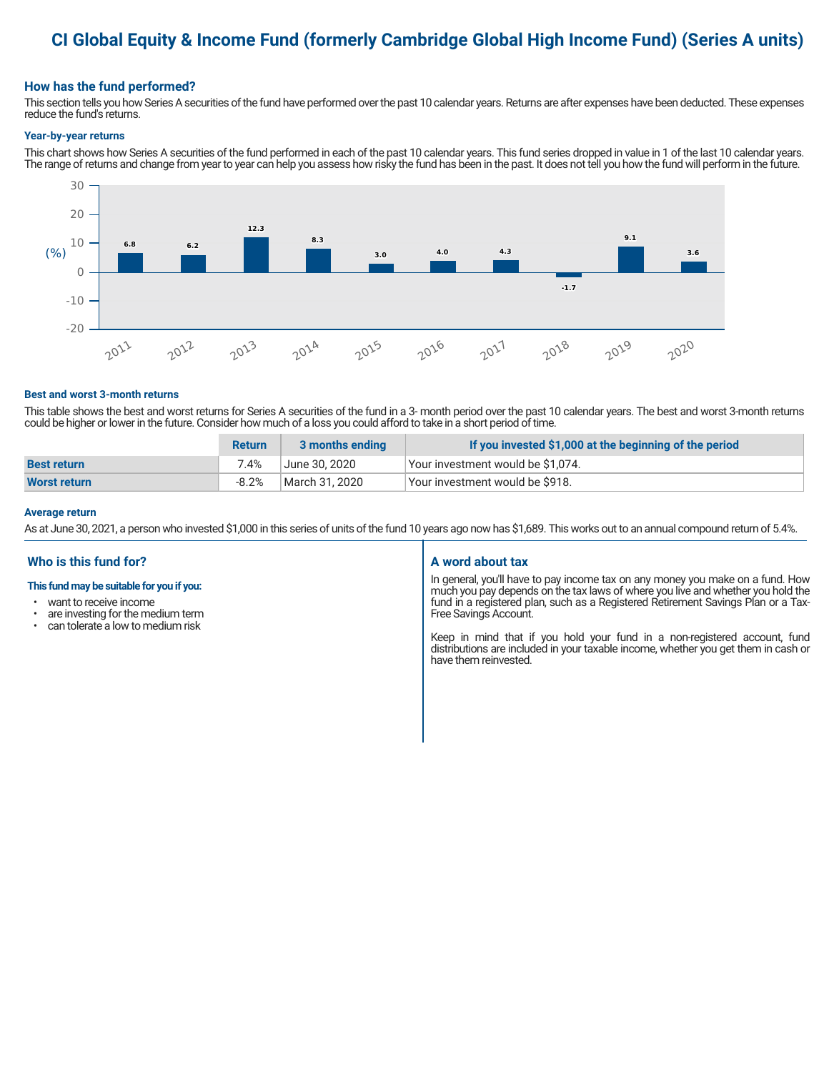# **CI Global Equity & Income Fund (formerly Cambridge Global High Income Fund) (Series A units)**

### **How has the fund performed?**

This section tells you how Series A securities of the fund have performed over the past 10 calendar years. Returns are after expenses have been deducted. These expenses reduce the fund's returns.

#### **Year-by-year returns**

This chart shows how Series A securities of the fund performed in each of the past 10 calendar years. This fund series dropped in value in 1 of the last 10 calendar years. The range of returns and change from year to year can help you assess how risky the fund has been in the past. It does not tell you how the fund will perform in the future.



#### **Best and worst 3-month returns**

This table shows the best and worst returns for Series A securities of the fund in a 3- month period over the past 10 calendar years. The best and worst 3-month returns could be higher or lower in the future. Consider how much of a loss you could afford to take in a short period of time.

|                     | <b>Return</b> | 3 months ending | If you invested \$1,000 at the beginning of the period |
|---------------------|---------------|-----------------|--------------------------------------------------------|
| <b>Best return</b>  | 7.4%          | June 30. 2020   | Vour investment would be \$1,074.                      |
| <b>Worst return</b> | $-8.2%$       | March 31. 2020  | Your investment would be \$918.                        |

#### **Average return**

As at June 30, 2021, a person who invested \$1,000 in this series of units of the fund 10 years ago now has \$1,689. This works out to an annual compound return of 5.4%.

### **Who is this fund for?**

#### **This fund may be suitable for you if you:**

- want to receive income
- are investing for the medium term<br>• can telerate a low to medium risk
- can tolerate a low to medium risk

#### **A word about tax**

In general, you'll have to pay income tax on any money you make on a fund. How much you pay depends on the tax laws of where you live and whether you hold the fund in a registered plan, such as a Registered Retirement Savings Plan or a Tax-Free Savings Account.

Keep in mind that if you hold your fund in a non-registered account, fund distributions are included in your taxable income, whether you get them in cash or have them reinvested.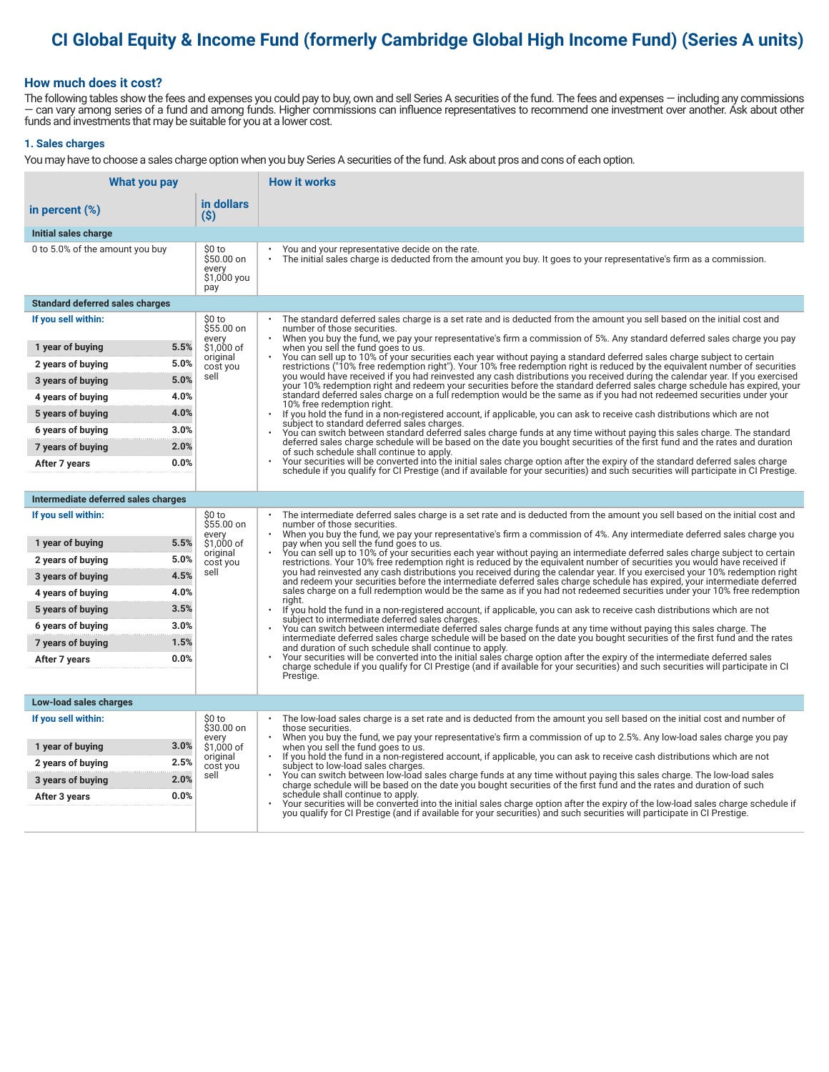# **CI Global Equity & Income Fund (formerly Cambridge Global High Income Fund) (Series A units)**

### **How much does it cost?**

The following tables show the fees and expenses you could pay to buy, own and sell Series A securities of the fund. The fees and expenses — including any commissions — can vary among series of a fund and among funds. Higher commissions can influence representatives to recommend one investment over another. Ask about other funds and investments that may be suitable for you at a lower cost.

#### **1. Sales charges**

You may have to choose a sales charge option when you buy Series A securities of the fund. Ask about pros and cons of each option.

| What you pay                                  |                                                     | <b>How it works</b>                                                                                                                                                                                                                                                                   |
|-----------------------------------------------|-----------------------------------------------------|---------------------------------------------------------------------------------------------------------------------------------------------------------------------------------------------------------------------------------------------------------------------------------------|
| in percent $(\%)$                             | in dollars<br>(S)                                   |                                                                                                                                                                                                                                                                                       |
| Initial sales charge                          |                                                     |                                                                                                                                                                                                                                                                                       |
| 0 to 5.0% of the amount you buy               | \$0 to<br>\$50.00 on<br>every<br>\$1,000 you<br>pay | You and your representative decide on the rate.<br>The initial sales charge is deducted from the amount you buy. It goes to your representative's firm as a commission.                                                                                                               |
| <b>Standard deferred sales charges</b>        |                                                     |                                                                                                                                                                                                                                                                                       |
| If you sell within:                           | \$0 to<br>\$55.00 on                                | The standard deferred sales charge is a set rate and is deducted from the amount you sell based on the initial cost and<br>number of those securities.<br>When you buy the fund, we pay your representative's firm a commission of 5%. Any standard deferred sales charge you pay     |
| 5.5%<br>1 year of buying                      | every<br>\$1.000 of                                 | when you sell the fund goes to us.                                                                                                                                                                                                                                                    |
| 5.0%<br>2 years of buying                     | original<br>cost you                                | You can sell up to 10% of your securities each year without paying a standard deferred sales charge subject to certain<br>restrictions ("10% free redemption right"). Your 10% free redemption right is reduced by the equivalent number of securities                                |
| 5.0%<br>3 years of buying                     | sell                                                | you would have received if you had reinvested any cash distributions you received during the calendar year. If you exercised<br>your 10% redemption right and redeem your securities before the standard deferred sales charge schedule has expired, your                             |
| 4.0%<br>4 years of buying                     |                                                     | standard deferred sales charge on a full redemption would be the same as if you had not redeemed securities under your<br>10% free redemption right.                                                                                                                                  |
| 4.0%<br>5 years of buying                     |                                                     | $\ddot{\phantom{0}}$<br>If you hold the fund in a non-registered account, if applicable, you can ask to receive cash distributions which are not<br>subject to standard deferred sales charges.                                                                                       |
| 3.0%<br>6 years of buying                     |                                                     | You can switch between standard deferred sales charge funds at any time without paying this sales charge. The standard                                                                                                                                                                |
| 2.0%<br>7 years of buying                     |                                                     | deferred sales charge schedule will be based on the date you bought securities of the first fund and the rates and duration<br>of such schedule shall continue to apply.                                                                                                              |
| 0.0%<br>After 7 years                         |                                                     | Your securities will be converted into the initial sales charge option after the expiry of the standard deferred sales charge<br>schedule if you qualify for CI Prestige (and if available for your securities) and such securities will participate in CI Prestige.                  |
|                                               |                                                     |                                                                                                                                                                                                                                                                                       |
| Intermediate deferred sales charges           |                                                     |                                                                                                                                                                                                                                                                                       |
| If you sell within:                           | \$0 to<br>\$55.00 on<br>every                       | The intermediate deferred sales charge is a set rate and is deducted from the amount you sell based on the initial cost and<br>number of those securities.<br>When you buy the fund, we pay your representative's firm a commission of 4%. Any intermediate deferred sales charge you |
| 5.5%<br>1 year of buying                      | \$1,000 of                                          | pay when you sell the fund goes to us.<br>You can sell up to 10% of your securities each year without paying an intermediate deferred sales charge subject to certain                                                                                                                 |
| 5.0%<br>2 years of buying                     | original<br>cost you                                | restrictions. Your 10% free redemption right is reduced by the equivalent number of securities you would have received if                                                                                                                                                             |
| 4.5%<br>3 years of buying                     | sell                                                | you had reinvested any cash distributions you received during the calendar year. If you exercised your 10% redemption right<br>and redeem your securities before the intermediate deferred sales charge schedule has expired, your intermediate deferred                              |
| 4.0%<br>4 years of buying                     |                                                     | sales charge on a full redemption would be the same as if you had not redeemed securities under your 10% free redemption<br>riaht.                                                                                                                                                    |
| 3.5%<br>5 years of buying                     |                                                     | If you hold the fund in a non-registered account, if applicable, you can ask to receive cash distributions which are not<br>subject to intermediate deferred sales charges.                                                                                                           |
| 3.0%<br>6 years of buying                     |                                                     | You can switch between intermediate deferred sales charge funds at any time without paying this sales charge. The<br>intermediate deferred sales charge schedule will be based on the date you bought securities of the first fund and the rates                                      |
| 7 years of buying<br>1.5%                     |                                                     | and duration of such schedule shall continue to apply.                                                                                                                                                                                                                                |
| 0.0%<br>After 7 years                         |                                                     | Your securities will be converted into the initial sales charge option after the expiry of the intermediate deferred sales<br>charge schedule if you qualify for CI Prestige (and if available for your securities) and such securities will participate in CI                        |
|                                               |                                                     | Prestige.                                                                                                                                                                                                                                                                             |
| Low-load sales charges                        |                                                     |                                                                                                                                                                                                                                                                                       |
| If you sell within:                           | \$0 to<br>\$30.00 on                                | The low-load sales charge is a set rate and is deducted from the amount you sell based on the initial cost and number of<br>those securities.                                                                                                                                         |
| 3.0%                                          | every<br>\$1,000 of                                 | When you buy the fund, we pay your representative's firm a commission of up to 2.5%. Any low-load sales charge you pay                                                                                                                                                                |
| 1 year of buying<br>2.5%<br>2 years of buying | original                                            | when you sell the fund goes to us.<br>If you hold the fund in a non-registered account, if applicable, you can ask to receive cash distributions which are not                                                                                                                        |
| 2.0%<br>3 years of buying                     | cost you<br>sell                                    | subject to low-load sales charges.<br>You can switch between low-load sales charge funds at any time without paying this sales charge. The low-load sales                                                                                                                             |
| 0.0%<br>After 3 years                         |                                                     | charge schedule will be based on the date you bought securities of the first fund and the rates and duration of such<br>schedule shall continue to apply.                                                                                                                             |
|                                               |                                                     | Your securities will be converted into the initial sales charge option after the expiry of the low-load sales charge schedule if<br>you qualify for CI Prestige (and if available for your securities) and such securities will participate in CI Prestige.                           |